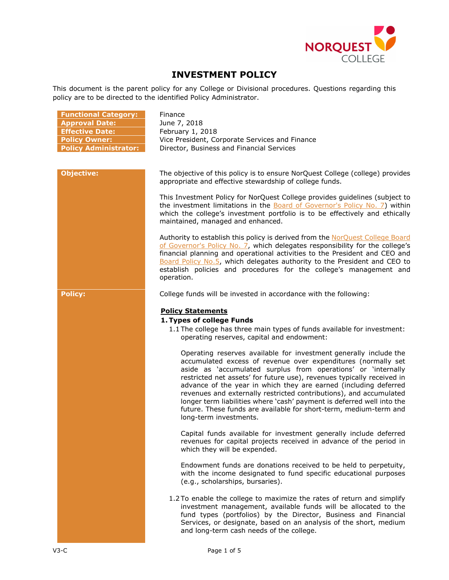

# **INVESTMENT POLICY**

This document is the parent policy for any College or Divisional procedures. Questions regarding this policy are to be directed to the identified Policy Administrator.

| <b>Functional Category:</b>  |
|------------------------------|
| <b>Approval Date:</b>        |
| <b>Effective Date:</b>       |
| <b>Policy Owner:</b>         |
| <b>Policy Administrator:</b> |

**Finance Approval Date:** June 7, 2018 **Effective Date:** February 1, 2018 Vice President, Corporate Services and Finance **Policy Administrator:** Director, Business and Financial Services

**Objective:** The objective of this policy is to ensure NorQuest College (college) provides appropriate and effective stewardship of college funds.

> This Investment Policy for NorQuest College provides guidelines (subject to the investment limitations in the **Board of Governor's Policy No. 7**) within which the college's investment portfolio is to be effectively and ethically maintained, managed and enhanced.

> Authority to establish this policy is derived from the [NorQuest College Board](https://www.norquest.ca/NorquestCollege/media/pdf/about-us/board/policies-procedures/07-Board-Policy_The_President_CEO_Plans_and_Reports_on_College_Financial_Activities.pdf)  [of Governor's Policy No. 7,](https://www.norquest.ca/NorquestCollege/media/pdf/about-us/board/policies-procedures/07-Board-Policy_The_President_CEO_Plans_and_Reports_on_College_Financial_Activities.pdf) which delegates responsibility for the college's financial planning and operational activities to the President and CEO and [Board Policy No.5,](https://www.norquest.ca/NorquestCollege/media/pdf/about-us/board/policies-procedures/05-Board-Policy_Delegate_authority_to_President.pdf) which delegates authority to the President and CEO to establish policies and procedures for the college's management and operation.

**Policy:** College funds will be invested in accordance with the following:

# **Policy Statements**

#### **1. Types of college Funds**

1.1 The college has three main types of funds available for investment: operating reserves, capital and endowment:

Operating reserves available for investment generally include the accumulated excess of revenue over expenditures (normally set aside as 'accumulated surplus from operations' or 'internally restricted net assets' for future use), revenues typically received in advance of the year in which they are earned (including deferred revenues and externally restricted contributions), and accumulated longer term liabilities where 'cash' payment is deferred well into the future. These funds are available for short-term, medium-term and long-term investments.

Capital funds available for investment generally include deferred revenues for capital projects received in advance of the period in which they will be expended.

Endowment funds are donations received to be held to perpetuity, with the income designated to fund specific educational purposes (e.g., scholarships, bursaries).

1.2 To enable the college to maximize the rates of return and simplify investment management, available funds will be allocated to the fund types (portfolios) by the Director, Business and Financial Services, or designate, based on an analysis of the short, medium and long-term cash needs of the college.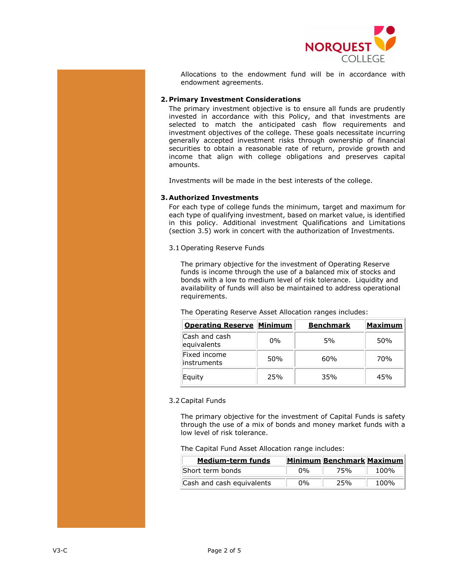

Allocations to the endowment fund will be in accordance with endowment agreements.

### **2. Primary Investment Considerations**

The primary investment objective is to ensure all funds are prudently invested in accordance with this Policy, and that investments are selected to match the anticipated cash flow requirements and investment objectives of the college. These goals necessitate incurring generally accepted investment risks through ownership of financial securities to obtain a reasonable rate of return, provide growth and income that align with college obligations and preserves capital amounts.

Investments will be made in the best interests of the college.

## **3. Authorized Investments**

For each type of college funds the minimum, target and maximum for each type of qualifying investment, based on market value, is identified in this policy. Additional investment Qualifications and Limitations (section 3.5) work in concert with the authorization of Investments.

3.1 Operating Reserve Funds

The primary objective for the investment of Operating Reserve funds is income through the use of a balanced mix of stocks and bonds with a low to medium level of risk tolerance. Liquidity and availability of funds will also be maintained to address operational requirements.

The Operating Reserve Asset Allocation ranges includes:

| <b>Operating Reserve Minimum</b> |       | <b>Benchmark</b> | <b>Maximum</b>  |
|----------------------------------|-------|------------------|-----------------|
| Cash and cash<br>equivalents     | $0\%$ | .5%              | 50%             |
| Fixed income<br>linstruments     | 50%   | 60 <sub>%</sub>  | 70 <sub>%</sub> |
| Equity                           | 25%   | 35%              | 45%             |

#### 3.2Capital Funds

The primary objective for the investment of Capital Funds is safety through the use of a mix of bonds and money market funds with a low level of risk tolerance.

#### The Capital Fund Asset Allocation range includes:

| <b>Medium-term funds</b>  |       | <b>Minimum Benchmark Maximum</b> |      |
|---------------------------|-------|----------------------------------|------|
| Short term bonds          | $0\%$ | 75%                              | 100% |
| Cash and cash equivalents | $0\%$ | 25%                              | 100% |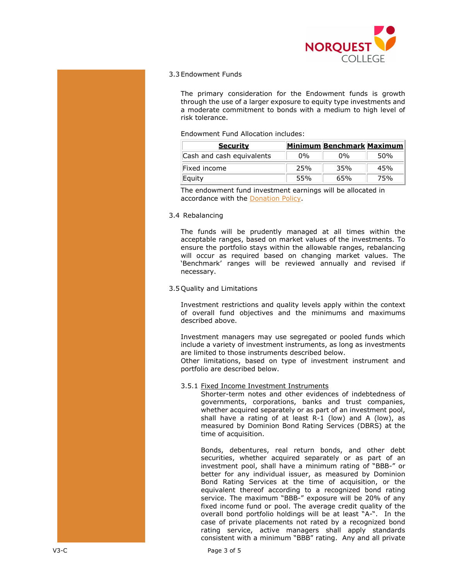

# 3.3 Endowment Funds

The primary consideration for the Endowment funds is growth through the use of a larger exposure to equity type investments and a moderate commitment to bonds with a medium to high level of risk tolerance.

### Endowment Fund Allocation includes:

| <b>Security</b>           |       | Minimum Benchmark Maximum |      |
|---------------------------|-------|---------------------------|------|
| Cash and cash equivalents | $0\%$ | በ%                        | .50% |
| Fixed income              | 25%   | 35%                       | 45%  |
| Equity                    | 55%   | 65%                       | 75%  |

The endowment fund investment earnings will be allocated in accordance with the [Donation Policy.](http://www.norquest.ca/about-us/policies-procedures/operations/donation-policy.aspx)

### 3.4 Rebalancing

The funds will be prudently managed at all times within the acceptable ranges, based on market values of the investments. To ensure the portfolio stays within the allowable ranges, rebalancing will occur as required based on changing market values. The 'Benchmark' ranges will be reviewed annually and revised if necessary.

## 3.5 Quality and Limitations

Investment restrictions and quality levels apply within the context of overall fund objectives and the minimums and maximums described above.

Investment managers may use segregated or pooled funds which include a variety of investment instruments, as long as investments are limited to those instruments described below.

Other limitations, based on type of investment instrument and portfolio are described below.

# 3.5.1 Fixed Income Investment Instruments

Shorter-term notes and other evidences of indebtedness of governments, corporations, banks and trust companies, whether acquired separately or as part of an investment pool, shall have a rating of at least R-1 (low) and A (low), as measured by Dominion Bond Rating Services (DBRS) at the time of acquisition.

Bonds, debentures, real return bonds, and other debt securities, whether acquired separately or as part of an investment pool, shall have a minimum rating of "BBB-" or better for any individual issuer, as measured by Dominion Bond Rating Services at the time of acquisition, or the equivalent thereof according to a recognized bond rating service. The maximum "BBB-" exposure will be 20% of any fixed income fund or pool. The average credit quality of the overall bond portfolio holdings will be at least "A-". In the case of private placements not rated by a recognized bond rating service, active managers shall apply standards consistent with a minimum "BBB" rating. Any and all private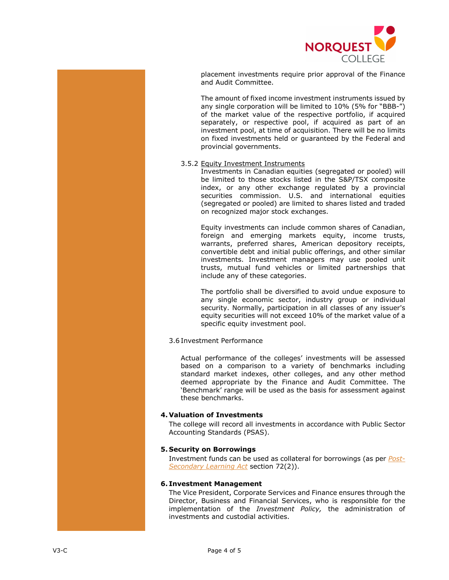

placement investments require prior approval of the Finance and Audit Committee.

The amount of fixed income investment instruments issued by any single corporation will be limited to 10% (5% for "BBB-") of the market value of the respective portfolio, if acquired separately, or respective pool, if acquired as part of an investment pool, at time of acquisition. There will be no limits on fixed investments held or guaranteed by the Federal and provincial governments.

### 3.5.2 Equity Investment Instruments

Investments in Canadian equities (segregated or pooled) will be limited to those stocks listed in the S&P/TSX composite index, or any other exchange regulated by a provincial securities commission. U.S. and international equities (segregated or pooled) are limited to shares listed and traded on recognized major stock exchanges.

Equity investments can include common shares of Canadian, foreign and emerging markets equity, income trusts, warrants, preferred shares, American depository receipts, convertible debt and initial public offerings, and other similar investments. Investment managers may use pooled unit trusts, mutual fund vehicles or limited partnerships that include any of these categories.

The portfolio shall be diversified to avoid undue exposure to any single economic sector, industry group or individual security. Normally, participation in all classes of any issuer's equity securities will not exceed 10% of the market value of a specific equity investment pool.

# 3.6 Investment Performance

Actual performance of the colleges' investments will be assessed based on a comparison to a variety of benchmarks including standard market indexes, other colleges, and any other method deemed appropriate by the Finance and Audit Committee. The 'Benchmark' range will be used as the basis for assessment against these benchmarks.

# **4. Valuation of Investments**

The college will record all investments in accordance with Public Sector Accounting Standards (PSAS).

# **5. Security on Borrowings**

Investment funds can be used as collateral for borrowings (as per *[Post-](http://www.qp.alberta.ca/574.cfm?page=p19p5.cfm&leg_type=Acts&isbncln=9780779737932)[Secondary Learning Act](http://www.qp.alberta.ca/574.cfm?page=p19p5.cfm&leg_type=Acts&isbncln=9780779737932)* section 72(2)).

# **6. Investment Management**

The Vice President, Corporate Services and Finance ensures through the Director, Business and Financial Services, who is responsible for the implementation of the *Investment Policy,* the administration of investments and custodial activities.